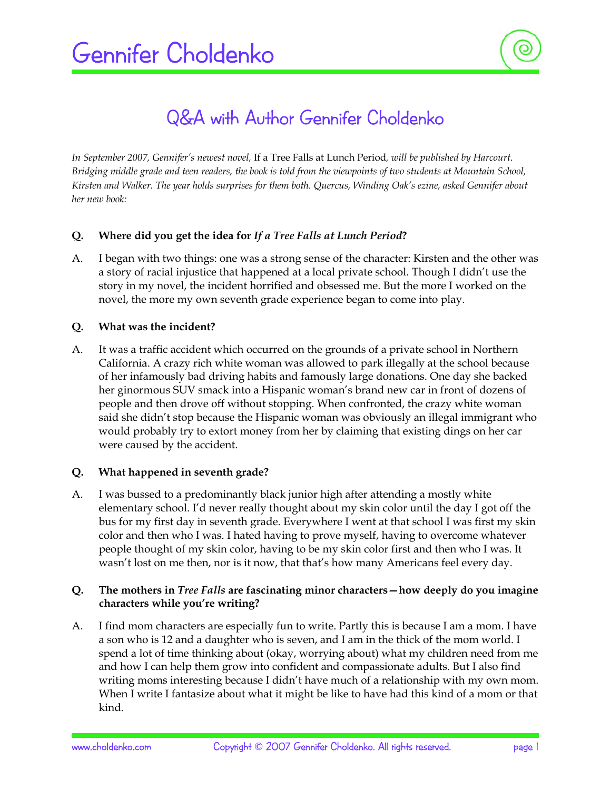# Q&A with Author Gennifer Choldenko

*In September 2007, Gennifer's newest novel,* If a Tree Falls at Lunch Period*, will be published by Harcourt. Bridging middle grade and teen readers, the book is told from the viewpoints of two students at Mountain School, Kirsten and Walker. The year holds surprises for them both. Quercus, Winding Oak's ezine, asked Gennifer about her new book:* 

# **Q. Where did you get the idea for** *If a Tree Falls at Lunch Period***?**

A. I began with two things: one was a strong sense of the character: Kirsten and the other was a story of racial injustice that happened at a local private school. Though I didn't use the story in my novel, the incident horrified and obsessed me. But the more I worked on the novel, the more my own seventh grade experience began to come into play.

# **Q. What was the incident?**

A. It was a traffic accident which occurred on the grounds of a private school in Northern California. A crazy rich white woman was allowed to park illegally at the school because of her infamously bad driving habits and famously large donations. One day she backed her ginormous SUV smack into a Hispanic woman's brand new car in front of dozens of people and then drove off without stopping. When confronted, the crazy white woman said she didn't stop because the Hispanic woman was obviously an illegal immigrant who would probably try to extort money from her by claiming that existing dings on her car were caused by the accident.

# **Q. What happened in seventh grade?**

A. I was bussed to a predominantly black junior high after attending a mostly white elementary school. I'd never really thought about my skin color until the day I got off the bus for my first day in seventh grade. Everywhere I went at that school I was first my skin color and then who I was. I hated having to prove myself, having to overcome whatever people thought of my skin color, having to be my skin color first and then who I was. It wasn't lost on me then, nor is it now, that that's how many Americans feel every day.

## **Q. The mothers in** *Tree Falls* **are fascinating minor characters—how deeply do you imagine characters while you're writing?**

A. I find mom characters are especially fun to write. Partly this is because I am a mom. I have a son who is 12 and a daughter who is seven, and I am in the thick of the mom world. I spend a lot of time thinking about (okay, worrying about) what my children need from me and how I can help them grow into confident and compassionate adults. But I also find writing moms interesting because I didn't have much of a relationship with my own mom. When I write I fantasize about what it might be like to have had this kind of a mom or that kind.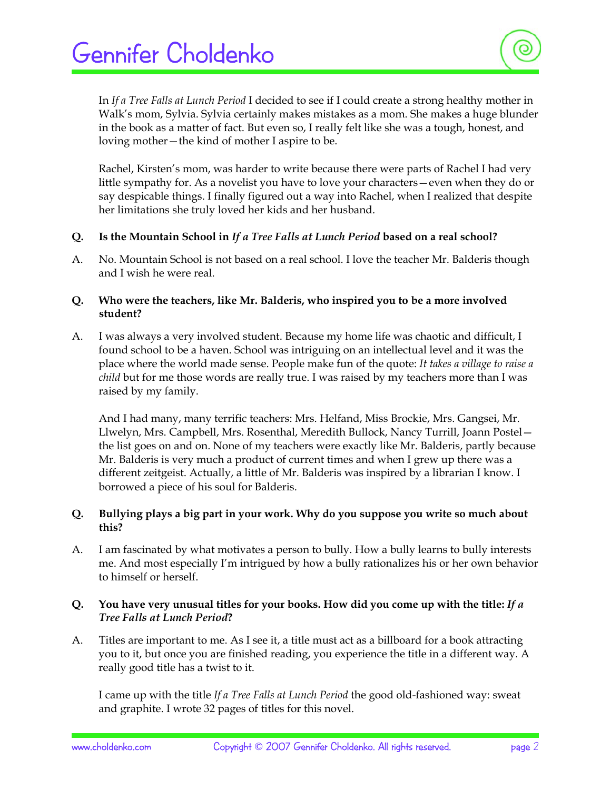In *If a Tree Falls at Lunch Period* I decided to see if I could create a strong healthy mother in Walk's mom, Sylvia. Sylvia certainly makes mistakes as a mom. She makes a huge blunder in the book as a matter of fact. But even so, I really felt like she was a tough, honest, and loving mother—the kind of mother I aspire to be.

 Rachel, Kirsten's mom, was harder to write because there were parts of Rachel I had very little sympathy for. As a novelist you have to love your characters—even when they do or say despicable things. I finally figured out a way into Rachel, when I realized that despite her limitations she truly loved her kids and her husband.

- **Q. Is the Mountain School in** *If a Tree Falls at Lunch Period* **based on a real school?**
- A. No. Mountain School is not based on a real school. I love the teacher Mr. Balderis though and I wish he were real.
- **Q. Who were the teachers, like Mr. Balderis, who inspired you to be a more involved student?**
- A. I was always a very involved student. Because my home life was chaotic and difficult, I found school to be a haven. School was intriguing on an intellectual level and it was the place where the world made sense. People make fun of the quote: *It takes a village to raise a child* but for me those words are really true. I was raised by my teachers more than I was raised by my family.

 And I had many, many terrific teachers: Mrs. Helfand, Miss Brockie, Mrs. Gangsei, Mr. Llwelyn, Mrs. Campbell, Mrs. Rosenthal, Meredith Bullock, Nancy Turrill, Joann Postel the list goes on and on. None of my teachers were exactly like Mr. Balderis, partly because Mr. Balderis is very much a product of current times and when I grew up there was a different zeitgeist. Actually, a little of Mr. Balderis was inspired by a librarian I know. I borrowed a piece of his soul for Balderis.

## **Q. Bullying plays a big part in your work. Why do you suppose you write so much about this?**

A. I am fascinated by what motivates a person to bully. How a bully learns to bully interests me. And most especially I'm intrigued by how a bully rationalizes his or her own behavior to himself or herself.

# **Q. You have very unusual titles for your books. How did you come up with the title:** *If a Tree Falls at Lunch Period***?**

A. Titles are important to me. As I see it, a title must act as a billboard for a book attracting you to it, but once you are finished reading, you experience the title in a different way. A really good title has a twist to it.

 I came up with the title *If a Tree Falls at Lunch Period* the good old-fashioned way: sweat and graphite. I wrote 32 pages of titles for this novel.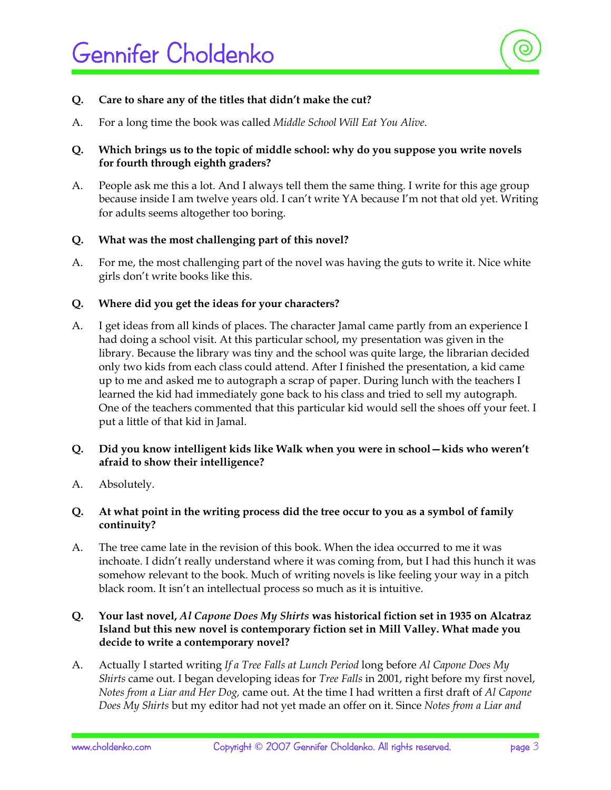

### **Q. Care to share any of the titles that didn't make the cut?**

A. For a long time the book was called *Middle School Will Eat You Alive*.

## **Q. Which brings us to the topic of middle school: why do you suppose you write novels for fourth through eighth graders?**

A. People ask me this a lot. And I always tell them the same thing. I write for this age group because inside I am twelve years old. I can't write YA because I'm not that old yet. Writing for adults seems altogether too boring.

#### **Q. What was the most challenging part of this novel?**

A. For me, the most challenging part of the novel was having the guts to write it. Nice white girls don't write books like this.

#### **Q. Where did you get the ideas for your characters?**

A. I get ideas from all kinds of places. The character Jamal came partly from an experience I had doing a school visit. At this particular school, my presentation was given in the library. Because the library was tiny and the school was quite large, the librarian decided only two kids from each class could attend. After I finished the presentation, a kid came up to me and asked me to autograph a scrap of paper. During lunch with the teachers I learned the kid had immediately gone back to his class and tried to sell my autograph. One of the teachers commented that this particular kid would sell the shoes off your feet. I put a little of that kid in Jamal.

#### **Q. Did you know intelligent kids like Walk when you were in school—kids who weren't afraid to show their intelligence?**

A. Absolutely.

#### **Q. At what point in the writing process did the tree occur to you as a symbol of family continuity?**

A. The tree came late in the revision of this book. When the idea occurred to me it was inchoate. I didn't really understand where it was coming from, but I had this hunch it was somehow relevant to the book. Much of writing novels is like feeling your way in a pitch black room. It isn't an intellectual process so much as it is intuitive.

# **Q. Your last novel,** *Al Capone Does My Shirts* **was historical fiction set in 1935 on Alcatraz Island but this new novel is contemporary fiction set in Mill Valley. What made you decide to write a contemporary novel?**

A. Actually I started writing *If a Tree Falls at Lunch Period* long before *Al Capone Does My Shirts* came out. I began developing ideas for *Tree Falls* in 2001, right before my first novel, *Notes from a Liar and Her Dog,* came out. At the time I had written a first draft of *Al Capone Does My Shirts* but my editor had not yet made an offer on it. Since *Notes from a Liar and*